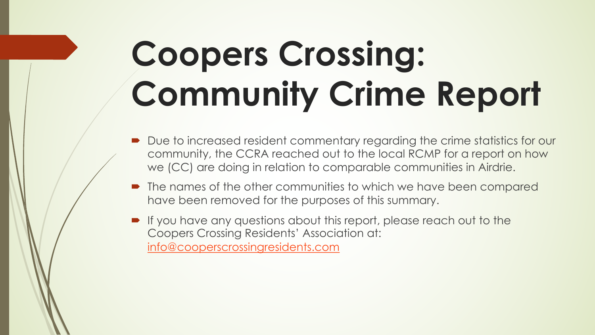# **Coopers Crossing [Community C](mailto:info@cooperscrossingresidents.com)rin**

- Due to increased resident commentary regarding community, the CCRA reached out to the we (CC) are doing in relation to comparable ve
- The names of the other communities to which have been removed for the purposes of thi
- If you have any questions about this report, Coopers Crossing Residents' Association at: info@cooperscrossingresidents.com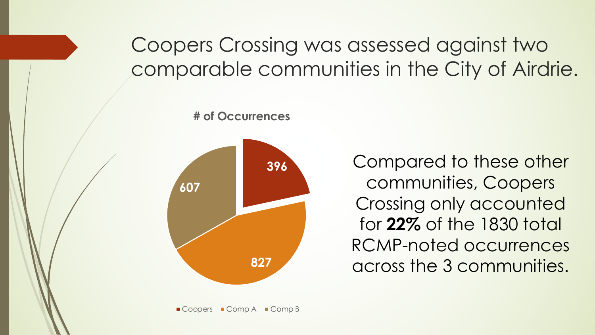#### Coopers Crossing was assessed against two comparable communities in the City of Airdrie.

**# of Occurrences**



Compared to these other communities, Coopers Crossing only accounted for **22%** of the 1830 total RCMP-noted occurrences across the 3 communities.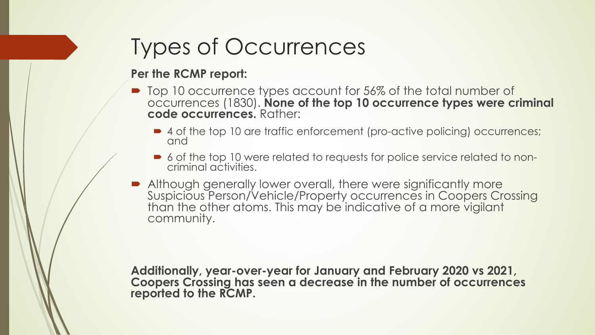## Types of Occurrences

#### **Per the RCMP report:**

- Top 10 occurrence types account for 56% of the total number of occurrences (1830). **None of the top 10 occurrence types were criminal code occurrences.** Rather:
	- 4 of the top 10 are traffic enforcement (pro-active policing) occurrences; and
	- ´ 6 of the top 10 were related to requests for police service related to non- criminal activities.
- **Although generally lower overall, there were significantly more** Suspicious Person/Vehicle/Property occurrences in Coopers Crossing than the other atoms. This may be indicative of a more vigilant community.

**Additionally, year-over-year for January and February 2020 vs 2021, Coopers Crossing has seen a decrease in the number of occurrences reported to the RCMP.**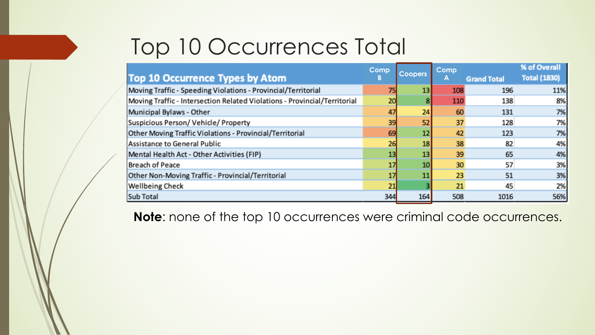### Top 10 Occurrences Total

| <b>Top 10 Occurrence Types by Atom</b>                                    | Comp<br>В | <b>Coopers</b> | Comp<br>A | <b>Grand Total</b> | % of Overall<br><b>Total (1830)</b> |
|---------------------------------------------------------------------------|-----------|----------------|-----------|--------------------|-------------------------------------|
| Moving Traffic - Speeding Violations - Provincial/Territorial             | 75        | 13             | 108       | 196                | 11%                                 |
| Moving Traffic - Intersection Related Violations - Provincial/Territorial | 20        |                | 110       | 138                | 8%                                  |
| Municipal Bylaws - Other                                                  | 47        | 24             | 60        | 131                | 7%                                  |
| Suspicious Person/Vehicle/Property                                        | 39        | 52             | 37        | 128                | 7%                                  |
| Other Moving Traffic Violations - Provincial/Territorial                  | 69        | 12             | 42        | 123                | 7%                                  |
| Assistance to General Public                                              | 26        | 18             | 38        | 82                 | 4%                                  |
| Mental Health Act - Other Activities (FIP)                                | 13        | 13             | 39        | 65                 | 4%                                  |
| Breach of Peace                                                           | 17        | 10             | 30        | 57                 | 3%                                  |
| Other Non-Moving Traffic - Provincial/Territorial                         | 17        | 11             | 23        | 51                 | 3%                                  |
| Wellbeing Check                                                           | 21        |                | 21        | 45                 | 2%                                  |
| Sub Total                                                                 | 344       | 164            | 508       | 1016               | 56%                                 |

**Note**: none of the top 10 occurrences were criminal code occurrences.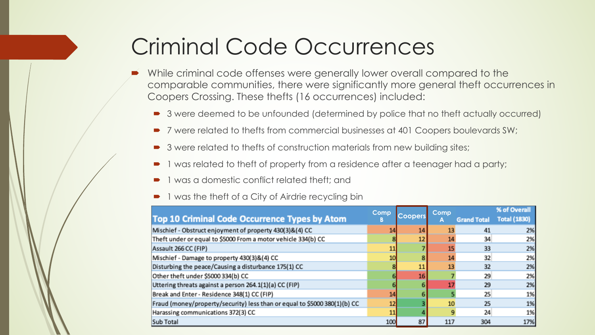#### Criminal Code Occurrences

- While criminal code offenses were generally lower overall compared to the comparable communities, there were significantly more general theft occurrences in Coopers Crossing. These thefts (16 occurrences) included:
	- 3 were deemed to be unfounded (determined by police that no theft actually occurred)
	- 7 were related to thefts from commercial businesses at 401 Coopers boulevards SW;
	- 3 were related to thefts of construction materials from new building sites;
	- 1 was related to theft of property from a residence after a teenager had a party;
	- 1 was a domestic conflict related theft; and
	- 1 was the theft of a City of Airdrie recycling bin

| Top 10 Criminal Code Occurrence Types by Atom                             | Comp<br>D | <b>Coopers</b> | Comp | % of Overall       |                     |
|---------------------------------------------------------------------------|-----------|----------------|------|--------------------|---------------------|
|                                                                           |           |                | A    | <b>Grand Total</b> | <b>Total (1830)</b> |
| Mischief - Obstruct enjoyment of property 430(3)&(4) CC                   | 14        | 14             | 13   | 41                 | 2%                  |
| Theft under or equal to \$5000 From a motor vehicle 334(b) CC             |           | 12             | 14   | 34                 | 2%                  |
| Assault 266 CC (FIP)                                                      | 11        |                | 15   | 33                 | 2%                  |
| Mischief - Damage to property 430(3)&(4) CC                               | 10        |                | 14   | 32                 | 2%                  |
| Disturbing the peace/Causing a disturbance 175(1) CC                      |           | 11             | 13   | 32                 | 2%                  |
| Other theft under \$5000 334(b) CC                                        |           | 16             |      | 29                 | 2%                  |
| Uttering threats against a person 264.1(1)(a) CC (FIP)                    |           |                | 17   | 29                 | 2%                  |
| Break and Enter - Residence 348(1) CC (FIP)                               | 14        |                |      | 25                 | 1%                  |
| Fraud (money/property/security) less than or equal to \$5000 380(1)(b) CC | 12        |                | 10   | 25                 | 1%                  |
| Harassing communications 372(3) CC                                        | 11        |                | q    | 24                 | 1%                  |
| Sub Total                                                                 | 100       | 87             | 117  | 304                | 17%                 |